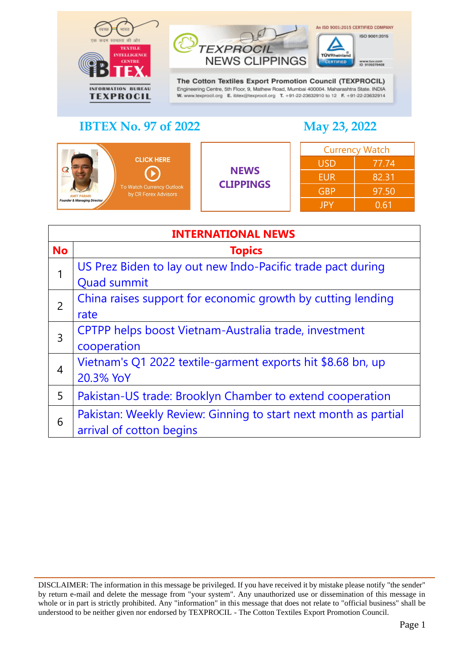



Engineering Centre, 5th Floor, 9, Mathew Road, Mumbai 400004. Maharashtra State. INDIA W. www.texprocil.org E. ibtex@texprocil.org T. +91-22-23632910 to 12 F. +91-22-23632914

# **IBTEX No. 97 of 2022 May 23, 2022**

TÜVRheir

An ISO 9001:2015 CERTIFIED COMPANY

ISO 9001:2015

| <b>CLICK HERE</b><br><b>NAME RANGE</b><br>To Watch Currency Outlook<br>by CR Forex Advisors<br><b>AMIT PABARL</b><br><b>Founder &amp; Managing Director</b> | <b>NEWS</b><br><b>CLIPPINGS</b> | <b>Currency Watch</b> |       |
|-------------------------------------------------------------------------------------------------------------------------------------------------------------|---------------------------------|-----------------------|-------|
|                                                                                                                                                             |                                 | <b>USD</b>            | 77.74 |
|                                                                                                                                                             |                                 | <b>EUR</b>            | 82.31 |
|                                                                                                                                                             |                                 | <b>GBP</b>            | 97.50 |
|                                                                                                                                                             |                                 | <b>JPY</b>            | 0.61  |

TEXPROC

<span id="page-0-0"></span>

| <b>INTERNATIONAL NEWS</b>                                       |  |
|-----------------------------------------------------------------|--|
| <b>Topics</b>                                                   |  |
| US Prez Biden to lay out new Indo-Pacific trade pact during     |  |
| <b>Quad summit</b>                                              |  |
| China raises support for economic growth by cutting lending     |  |
| rate                                                            |  |
| CPTPP helps boost Vietnam-Australia trade, investment           |  |
| cooperation                                                     |  |
| Vietnam's Q1 2022 textile-garment exports hit \$8.68 bn, up     |  |
| 20.3% YoY                                                       |  |
| Pakistan-US trade: Brooklyn Chamber to extend cooperation       |  |
| Pakistan: Weekly Review: Ginning to start next month as partial |  |
| arrival of cotton begins                                        |  |
|                                                                 |  |

DISCLAIMER: The information in this message be privileged. If you have received it by mistake please notify "the sender" by return e-mail and delete the message from "your system". Any unauthorized use or dissemination of this message in whole or in part is strictly prohibited. Any "information" in this message that does not relate to "official business" shall be understood to be neither given nor endorsed by TEXPROCIL - The Cotton Textiles Export Promotion Council.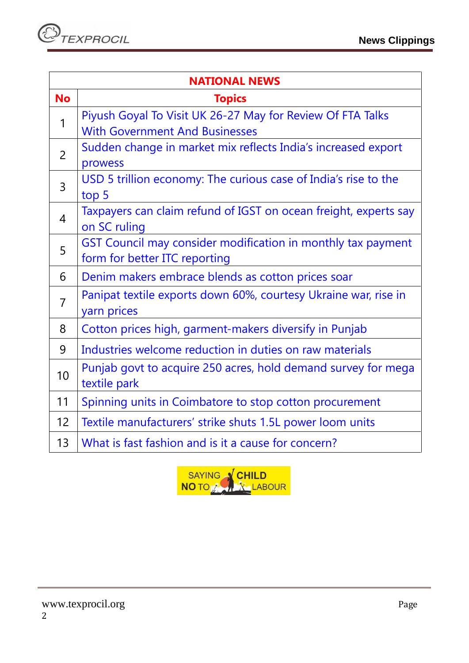| <b>NATIONAL NEWS</b> |                                                                  |  |
|----------------------|------------------------------------------------------------------|--|
| <b>No</b>            | <b>Topics</b>                                                    |  |
| 1                    | Piyush Goyal To Visit UK 26-27 May for Review Of FTA Talks       |  |
|                      | <b>With Government And Businesses</b>                            |  |
| $\overline{2}$       | Sudden change in market mix reflects India's increased export    |  |
|                      | prowess                                                          |  |
| $\overline{3}$       | USD 5 trillion economy: The curious case of India's rise to the  |  |
|                      | top 5                                                            |  |
| $\overline{4}$       | Taxpayers can claim refund of IGST on ocean freight, experts say |  |
|                      | on SC ruling                                                     |  |
| 5                    | GST Council may consider modification in monthly tax payment     |  |
|                      | form for better ITC reporting                                    |  |
| 6                    | Denim makers embrace blends as cotton prices soar                |  |
| $\overline{7}$       | Panipat textile exports down 60%, courtesy Ukraine war, rise in  |  |
|                      | yarn prices                                                      |  |
| 8                    | Cotton prices high, garment-makers diversify in Punjab           |  |
| 9                    | Industries welcome reduction in duties on raw materials          |  |
| 10                   | Punjab govt to acquire 250 acres, hold demand survey for mega    |  |
|                      | textile park                                                     |  |
| 11                   | Spinning units in Coimbatore to stop cotton procurement          |  |
| 12                   | Textile manufacturers' strike shuts 1.5L power loom units        |  |
| 13                   | What is fast fashion and is it a cause for concern?              |  |

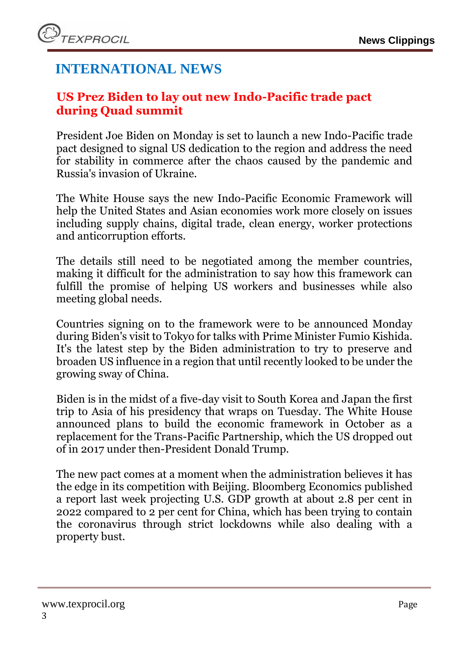# **INTERNATIONAL NEWS**

# <span id="page-2-0"></span>**US Prez Biden to lay out new Indo-Pacific trade pact during Quad summit**

President Joe Biden on Monday is set to launch a new Indo-Pacific trade pact designed to signal US dedication to the region and address the need for stability in commerce after the chaos caused by the pandemic and Russia's invasion of Ukraine.

The White House says the new Indo-Pacific Economic Framework will help the United States and Asian economies work more closely on issues including supply chains, digital trade, clean energy, worker protections and anticorruption efforts.

The details still need to be negotiated among the member countries, making it difficult for the administration to say how this framework can fulfill the promise of helping US workers and businesses while also meeting global needs.

Countries signing on to the framework were to be announced Monday during Biden's visit to Tokyo for talks with Prime Minister Fumio Kishida. It's the latest step by the Biden administration to try to preserve and broaden US influence in a region that until recently looked to be under the growing sway of China.

Biden is in the midst of a five-day visit to South Korea and Japan the first trip to Asia of his presidency that wraps on Tuesday. The White House announced plans to build the economic framework in October as a replacement for the Trans-Pacific Partnership, which the US dropped out of in 2017 under then-President Donald Trump.

The new pact comes at a moment when the administration believes it has the edge in its competition with Beijing. Bloomberg Economics published a report last week projecting U.S. GDP growth at about 2.8 per cent in 2022 compared to 2 per cent for China, which has been trying to contain the coronavirus through strict lockdowns while also dealing with a property bust.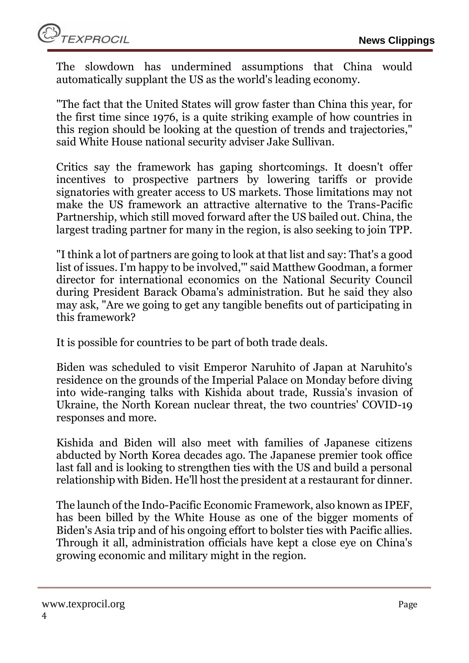The slowdown has undermined assumptions that China would automatically supplant the US as the world's leading economy.

"The fact that the United States will grow faster than China this year, for the first time since 1976, is a quite striking example of how countries in this region should be looking at the question of trends and trajectories," said White House national security adviser Jake Sullivan.

Critics say the framework has gaping shortcomings. It doesn't offer incentives to prospective partners by lowering tariffs or provide signatories with greater access to US markets. Those limitations may not make the US framework an attractive alternative to the Trans-Pacific Partnership, which still moved forward after the US bailed out. China, the largest trading partner for many in the region, is also seeking to join TPP.

"I think a lot of partners are going to look at that list and say: That's a good list of issues. I'm happy to be involved,'" said Matthew Goodman, a former director for international economics on the National Security Council during President Barack Obama's administration. But he said they also may ask, "Are we going to get any tangible benefits out of participating in this framework?

It is possible for countries to be part of both trade deals.

Biden was scheduled to visit Emperor Naruhito of Japan at Naruhito's residence on the grounds of the Imperial Palace on Monday before diving into wide-ranging talks with Kishida about trade, Russia's invasion of Ukraine, the North Korean nuclear threat, the two countries' COVID-19 responses and more.

Kishida and Biden will also meet with families of Japanese citizens abducted by North Korea decades ago. The Japanese premier took office last fall and is looking to strengthen ties with the US and build a personal relationship with Biden. He'll host the president at a restaurant for dinner.

The launch of the Indo-Pacific Economic Framework, also known as IPEF, has been billed by the White House as one of the bigger moments of Biden's Asia trip and of his ongoing effort to bolster ties with Pacific allies. Through it all, administration officials have kept a close eye on China's growing economic and military might in the region.

**TEXPROCIL**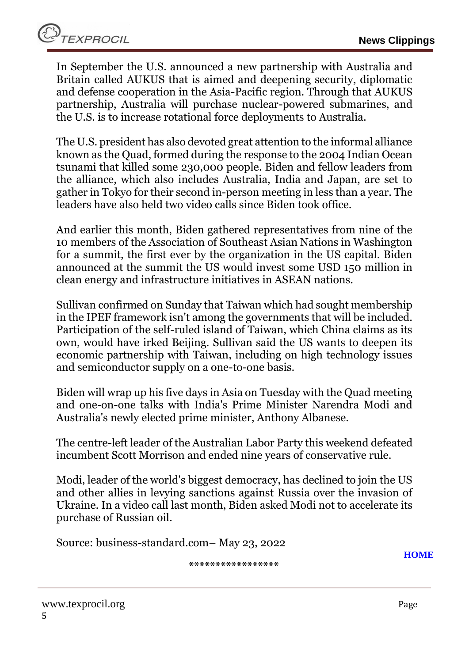In September the U.S. announced a new partnership with Australia and Britain called AUKUS that is aimed and deepening security, diplomatic and defense cooperation in the Asia-Pacific region. Through that AUKUS partnership, Australia will purchase nuclear-powered submarines, and the U.S. is to increase rotational force deployments to Australia.

The U.S. president has also devoted great attention to the informal alliance known as the Quad, formed during the response to the 2004 Indian Ocean tsunami that killed some 230,000 people. Biden and fellow leaders from the alliance, which also includes Australia, India and Japan, are set to gather in Tokyo for their second in-person meeting in less than a year. The leaders have also held two video calls since Biden took office.

And earlier this month, Biden gathered representatives from nine of the 10 members of the Association of Southeast Asian Nations in Washington for a summit, the first ever by the organization in the US capital. Biden announced at the summit the US would invest some USD 150 million in clean energy and infrastructure initiatives in ASEAN nations.

Sullivan confirmed on Sunday that Taiwan which had sought membership in the IPEF framework isn't among the governments that will be included. Participation of the self-ruled island of Taiwan, which China claims as its own, would have irked Beijing. Sullivan said the US wants to deepen its economic partnership with Taiwan, including on high technology issues and semiconductor supply on a one-to-one basis.

Biden will wrap up his five days in Asia on Tuesday with the Quad meeting and one-on-one talks with India's Prime Minister Narendra Modi and Australia's newly elected prime minister, Anthony Albanese.

The centre-left leader of the Australian Labor Party this weekend defeated incumbent Scott Morrison and ended nine years of conservative rule.

Modi, leader of the world's biggest democracy, has declined to join the US and other allies in levying sanctions against Russia over the invasion of Ukraine. In a video call last month, Biden asked Modi not to accelerate its purchase of Russian oil.

<span id="page-4-0"></span>Source: business-standard.com– May 23, 2022

**\*\*\*\*\*\*\*\*\*\*\*\*\*\*\*\*\***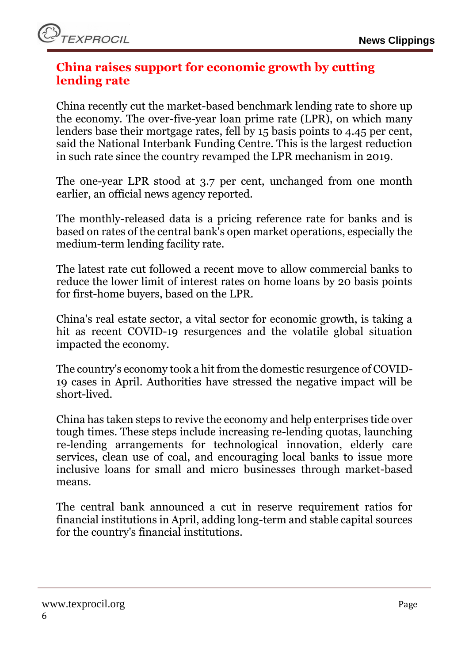# **China raises support for economic growth by cutting lending rate**

China recently cut the market-based benchmark lending rate to shore up the economy. The over-five-year loan prime rate (LPR), on which many lenders base their mortgage rates, fell by 15 basis points to 4.45 per cent, said the National Interbank Funding Centre. This is the largest reduction in such rate since the country revamped the LPR mechanism in 2019.

The one-year LPR stood at 3.7 per cent, unchanged from one month earlier, an official news agency reported.

The monthly-released data is a pricing reference rate for banks and is based on rates of the central bank's open market operations, especially the medium-term lending facility rate.

The latest rate cut followed a recent move to allow commercial banks to reduce the lower limit of interest rates on home loans by 20 basis points for first-home buyers, based on the LPR.

China's real estate sector, a vital sector for economic growth, is taking a hit as recent COVID-19 resurgences and the volatile global situation impacted the economy.

The country's economy took a hit from the domestic resurgence of COVID-19 cases in April. Authorities have stressed the negative impact will be short-lived.

China has taken steps to revive the economy and help enterprises tide over tough times. These steps include increasing re-lending quotas, launching re-lending arrangements for technological innovation, elderly care services, clean use of coal, and encouraging local banks to issue more inclusive loans for small and micro businesses through market-based means.

The central bank announced a cut in reserve requirement ratios for financial institutions in April, adding long-term and stable capital sources for the country's financial institutions.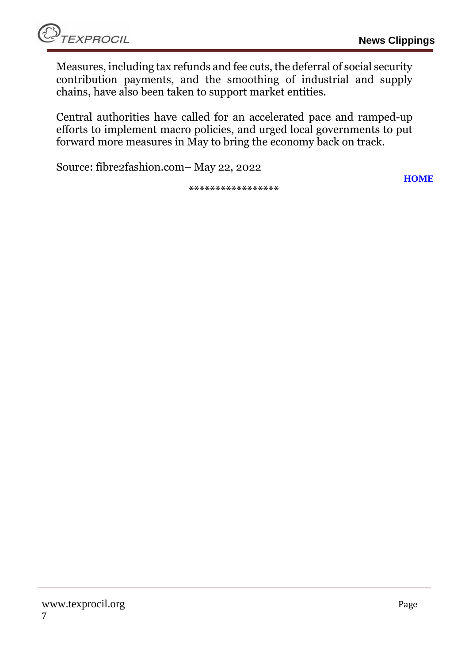Measures, including tax refunds and fee cuts, the deferral of social security contribution payments, and the smoothing of industrial and supply chains, have also been taken to support market entities.

Central authorities have called for an accelerated pace and ramped-up efforts to implement macro policies, and urged local governments to put forward more measures in May to bring the economy back on track.

Source: fibre2fashion.com– May 22, 2022

**\*\*\*\*\*\*\*\*\*\*\*\*\*\*\*\*\***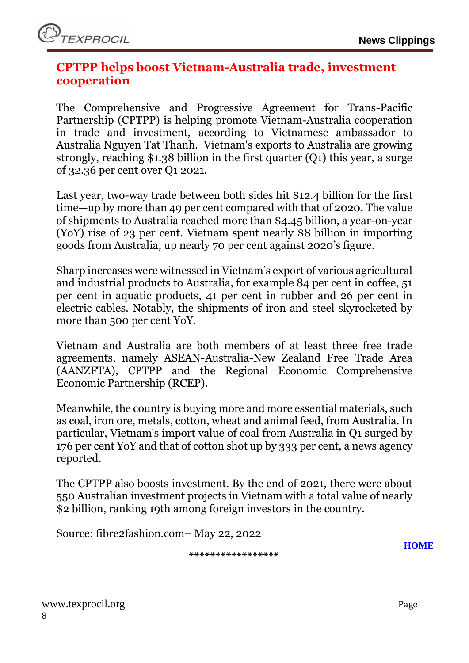# <span id="page-7-0"></span>**CPTPP helps boost Vietnam-Australia trade, investment cooperation**

The Comprehensive and Progressive Agreement for Trans-Pacific Partnership (CPTPP) is helping promote Vietnam-Australia cooperation in trade and investment, according to Vietnamese ambassador to Australia Nguyen Tat Thanh. Vietnam's exports to Australia are growing strongly, reaching \$1.38 billion in the first quarter (Q1) this year, a surge of 32.36 per cent over Q1 2021.

Last year, two-way trade between both sides hit \$12.4 billion for the first time—up by more than 49 per cent compared with that of 2020. The value of shipments to Australia reached more than \$4.45 billion, a year-on-year (YoY) rise of 23 per cent. Vietnam spent nearly \$8 billion in importing goods from Australia, up nearly 70 per cent against 2020's figure.

Sharp increases were witnessed in Vietnam's export of various agricultural and industrial products to Australia, for example 84 per cent in coffee, 51 per cent in aquatic products, 41 per cent in rubber and 26 per cent in electric cables. Notably, the shipments of iron and steel skyrocketed by more than 500 per cent YoY.

Vietnam and Australia are both members of at least three free trade agreements, namely ASEAN-Australia-New Zealand Free Trade Area (AANZFTA), CPTPP and the Regional Economic Comprehensive Economic Partnership (RCEP).

Meanwhile, the country is buying more and more essential materials, such as coal, iron ore, metals, cotton, wheat and animal feed, from Australia. In particular, Vietnam's import value of coal from Australia in Q1 surged by 176 per cent YoY and that of cotton shot up by 333 per cent, a news agency reported.

The CPTPP also boosts investment. By the end of 2021, there were about 550 Australian investment projects in Vietnam with a total value of nearly \$2 billion, ranking 19th among foreign investors in the country.

Source: fibre2fashion.com– May 22, 2022

**[HOME](#page-0-0)**

**\*\*\*\*\*\*\*\*\*\*\*\*\*\*\*\*\***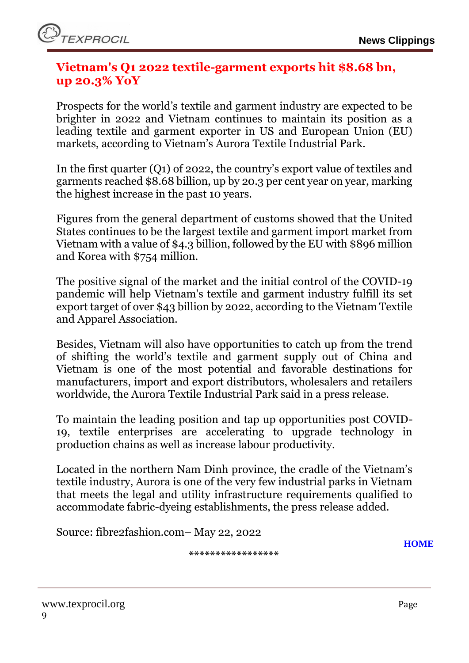# <span id="page-8-0"></span>**Vietnam's Q1 2022 textile-garment exports hit \$8.68 bn, up 20.3% YoY**

Prospects for the world's textile and garment industry are expected to be brighter in 2022 and Vietnam continues to maintain its position as a leading textile and garment exporter in US and European Union (EU) markets, according to Vietnam's Aurora Textile Industrial Park.

In the first quarter (Q1) of 2022, the country's export value of textiles and garments reached \$8.68 billion, up by 20.3 per cent year on year, marking the highest increase in the past 10 years.

Figures from the general department of customs showed that the United States continues to be the largest textile and garment import market from Vietnam with a value of \$4.3 billion, followed by the EU with \$896 million and Korea with \$754 million.

The positive signal of the market and the initial control of the COVID-19 pandemic will help Vietnam's textile and garment industry fulfill its set export target of over \$43 billion by 2022, according to the Vietnam Textile and Apparel Association.

Besides, Vietnam will also have opportunities to catch up from the trend of shifting the world's textile and garment supply out of China and Vietnam is one of the most potential and favorable destinations for manufacturers, import and export distributors, wholesalers and retailers worldwide, the Aurora Textile Industrial Park said in a press release.

To maintain the leading position and tap up opportunities post COVID-19, textile enterprises are accelerating to upgrade technology in production chains as well as increase labour productivity.

Located in the northern Nam Dinh province, the cradle of the Vietnam's textile industry, Aurora is one of the very few industrial parks in Vietnam that meets the legal and utility infrastructure requirements qualified to accommodate fabric-dyeing establishments, the press release added.

Source: fibre2fashion.com– May 22, 2022

**\*\*\*\*\*\*\*\*\*\*\*\*\*\*\*\*\***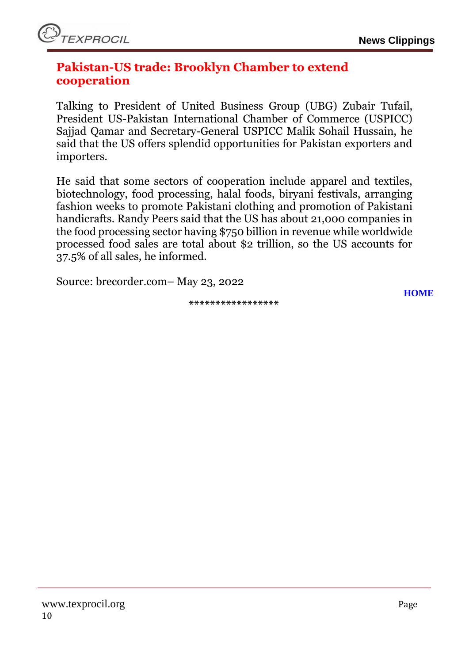#### <span id="page-9-0"></span>**Pakistan-US trade: Brooklyn Chamber to extend cooperation**

Talking to President of United Business Group (UBG) Zubair Tufail, President US-Pakistan International Chamber of Commerce (USPICC) Sajjad Qamar and Secretary-General USPICC Malik Sohail Hussain, he said that the US offers splendid opportunities for Pakistan exporters and importers.

He said that some sectors of cooperation include apparel and textiles, biotechnology, food processing, halal foods, biryani festivals, arranging fashion weeks to promote Pakistani clothing and promotion of Pakistani handicrafts. Randy Peers said that the US has about 21,000 companies in the food processing sector having \$750 billion in revenue while worldwide processed food sales are total about \$2 trillion, so the US accounts for 37.5% of all sales, he informed.

Source: brecorder.com– May 23, 2022

**\*\*\*\*\*\*\*\*\*\*\*\*\*\*\*\*\***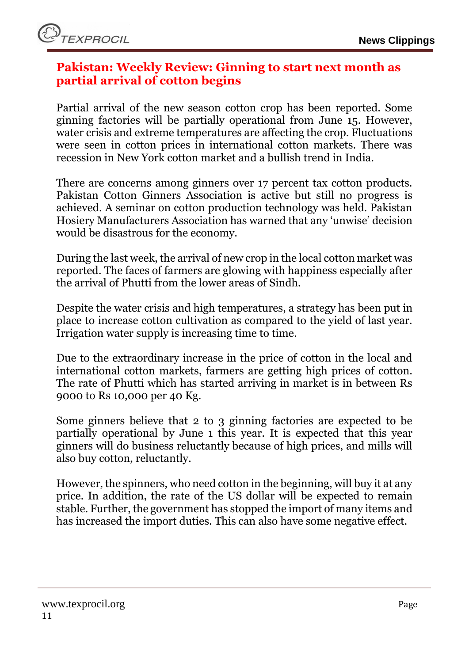## <span id="page-10-0"></span>**Pakistan: Weekly Review: Ginning to start next month as partial arrival of cotton begins**

Partial arrival of the new season cotton crop has been reported. Some ginning factories will be partially operational from June 15. However, water crisis and extreme temperatures are affecting the crop. Fluctuations were seen in cotton prices in international cotton markets. There was recession in New York cotton market and a bullish trend in India.

There are concerns among ginners over 17 percent tax cotton products. Pakistan Cotton Ginners Association is active but still no progress is achieved. A seminar on cotton production technology was held. Pakistan Hosiery Manufacturers Association has warned that any 'unwise' decision would be disastrous for the economy.

During the last week, the arrival of new crop in the local cotton market was reported. The faces of farmers are glowing with happiness especially after the arrival of Phutti from the lower areas of Sindh.

Despite the water crisis and high temperatures, a strategy has been put in place to increase cotton cultivation as compared to the yield of last year. Irrigation water supply is increasing time to time.

Due to the extraordinary increase in the price of cotton in the local and international cotton markets, farmers are getting high prices of cotton. The rate of Phutti which has started arriving in market is in between Rs 9000 to Rs 10,000 per 40 Kg.

Some ginners believe that 2 to 3 ginning factories are expected to be partially operational by June 1 this year. It is expected that this year ginners will do business reluctantly because of high prices, and mills will also buy cotton, reluctantly.

However, the spinners, who need cotton in the beginning, will buy it at any price. In addition, the rate of the US dollar will be expected to remain stable. Further, the government has stopped the import of many items and has increased the import duties. This can also have some negative effect.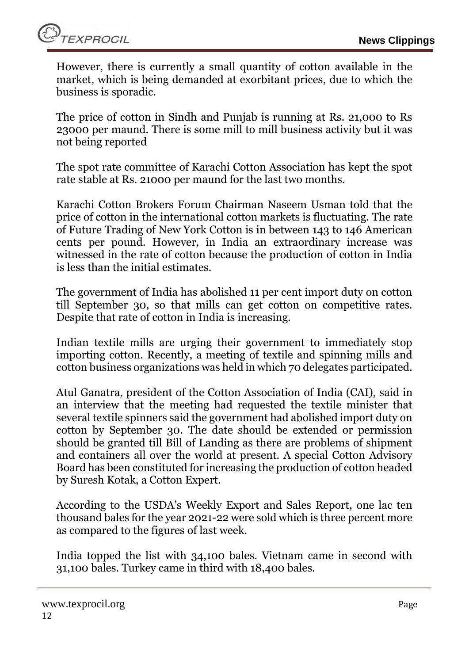

However, there is currently a small quantity of cotton available in the market, which is being demanded at exorbitant prices, due to which the business is sporadic.

The price of cotton in Sindh and Punjab is running at Rs. 21,000 to Rs 23000 per maund. There is some mill to mill business activity but it was not being reported

The spot rate committee of Karachi Cotton Association has kept the spot rate stable at Rs. 21000 per maund for the last two months.

Karachi Cotton Brokers Forum Chairman Naseem Usman told that the price of cotton in the international cotton markets is fluctuating. The rate of Future Trading of New York Cotton is in between 143 to 146 American cents per pound. However, in India an extraordinary increase was witnessed in the rate of cotton because the production of cotton in India is less than the initial estimates.

The government of India has abolished 11 per cent import duty on cotton till September 30, so that mills can get cotton on competitive rates. Despite that rate of cotton in India is increasing.

Indian textile mills are urging their government to immediately stop importing cotton. Recently, a meeting of textile and spinning mills and cotton business organizations was held in which 70 delegates participated.

Atul Ganatra, president of the Cotton Association of India (CAI), said in an interview that the meeting had requested the textile minister that several textile spinners said the government had abolished import duty on cotton by September 30. The date should be extended or permission should be granted till Bill of Landing as there are problems of shipment and containers all over the world at present. A special Cotton Advisory Board has been constituted for increasing the production of cotton headed by Suresh Kotak, a Cotton Expert.

According to the USDA's Weekly Export and Sales Report, one lac ten thousand bales for the year 2021-22 were sold which is three percent more as compared to the figures of last week.

India topped the list with 34,100 bales. Vietnam came in second with 31,100 bales. Turkey came in third with 18,400 bales.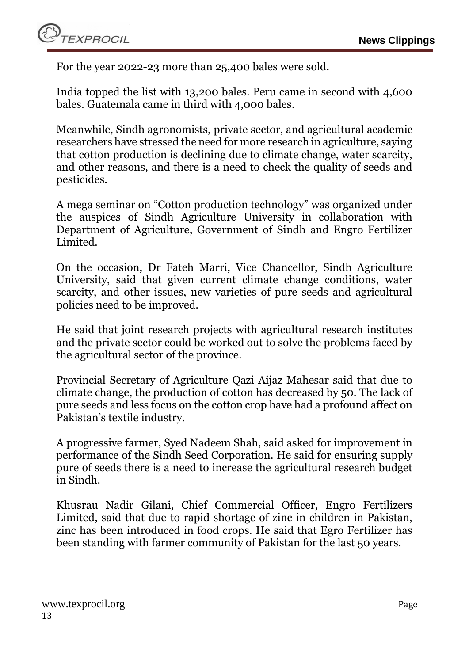

For the year 2022-23 more than 25,400 bales were sold.

India topped the list with 13,200 bales. Peru came in second with 4,600 bales. Guatemala came in third with 4,000 bales.

Meanwhile, Sindh agronomists, private sector, and agricultural academic researchers have stressed the need for more research in agriculture, saying that cotton production is declining due to climate change, water scarcity, and other reasons, and there is a need to check the quality of seeds and pesticides.

A mega seminar on "Cotton production technology" was organized under the auspices of Sindh Agriculture University in collaboration with Department of Agriculture, Government of Sindh and Engro Fertilizer Limited.

On the occasion, Dr Fateh Marri, Vice Chancellor, Sindh Agriculture University, said that given current climate change conditions, water scarcity, and other issues, new varieties of pure seeds and agricultural policies need to be improved.

He said that joint research projects with agricultural research institutes and the private sector could be worked out to solve the problems faced by the agricultural sector of the province.

Provincial Secretary of Agriculture Qazi Aijaz Mahesar said that due to climate change, the production of cotton has decreased by 50. The lack of pure seeds and less focus on the cotton crop have had a profound affect on Pakistan's textile industry.

A progressive farmer, Syed Nadeem Shah, said asked for improvement in performance of the Sindh Seed Corporation. He said for ensuring supply pure of seeds there is a need to increase the agricultural research budget in Sindh.

Khusrau Nadir Gilani, Chief Commercial Officer, Engro Fertilizers Limited, said that due to rapid shortage of zinc in children in Pakistan, zinc has been introduced in food crops. He said that Egro Fertilizer has been standing with farmer community of Pakistan for the last 50 years.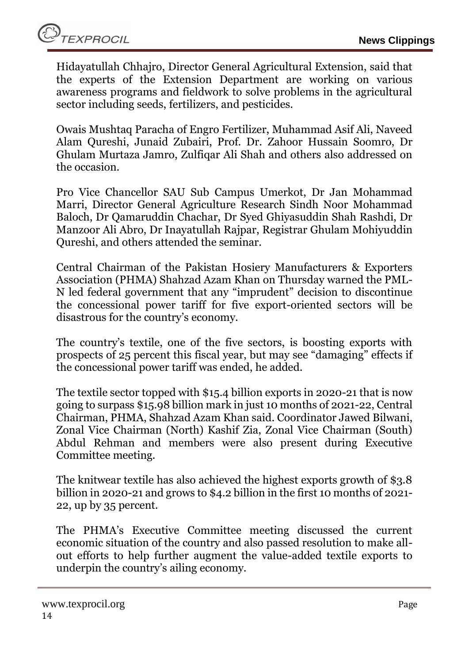Hidayatullah Chhajro, Director General Agricultural Extension, said that the experts of the Extension Department are working on various awareness programs and fieldwork to solve problems in the agricultural sector including seeds, fertilizers, and pesticides.

Owais Mushtaq Paracha of Engro Fertilizer, Muhammad Asif Ali, Naveed Alam Qureshi, Junaid Zubairi, Prof. Dr. Zahoor Hussain Soomro, Dr Ghulam Murtaza Jamro, Zulfiqar Ali Shah and others also addressed on the occasion.

Pro Vice Chancellor SAU Sub Campus Umerkot, Dr Jan Mohammad Marri, Director General Agriculture Research Sindh Noor Mohammad Baloch, Dr Qamaruddin Chachar, Dr Syed Ghiyasuddin Shah Rashdi, Dr Manzoor Ali Abro, Dr Inayatullah Rajpar, Registrar Ghulam Mohiyuddin Qureshi, and others attended the seminar.

Central Chairman of the Pakistan Hosiery Manufacturers & Exporters Association (PHMA) Shahzad Azam Khan on Thursday warned the PML-N led federal government that any "imprudent" decision to discontinue the concessional power tariff for five export-oriented sectors will be disastrous for the country's economy.

The country's textile, one of the five sectors, is boosting exports with prospects of 25 percent this fiscal year, but may see "damaging" effects if the concessional power tariff was ended, he added.

The textile sector topped with \$15.4 billion exports in 2020-21 that is now going to surpass \$15.98 billion mark in just 10 months of 2021-22, Central Chairman, PHMA, Shahzad Azam Khan said. Coordinator Jawed Bilwani, Zonal Vice Chairman (North) Kashif Zia, Zonal Vice Chairman (South) Abdul Rehman and members were also present during Executive Committee meeting.

The knitwear textile has also achieved the highest exports growth of \$3.8 billion in 2020-21 and grows to \$4.2 billion in the first 10 months of 2021- 22, up by 35 percent.

The PHMA's Executive Committee meeting discussed the current economic situation of the country and also passed resolution to make allout efforts to help further augment the value-added textile exports to underpin the country's ailing economy.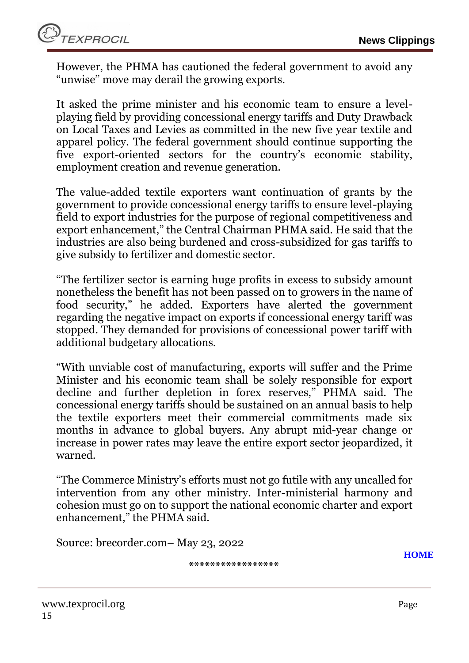However, the PHMA has cautioned the federal government to avoid any "unwise" move may derail the growing exports.

It asked the prime minister and his economic team to ensure a levelplaying field by providing concessional energy tariffs and Duty Drawback on Local Taxes and Levies as committed in the new five year textile and apparel policy. The federal government should continue supporting the five export-oriented sectors for the country's economic stability, employment creation and revenue generation.

The value-added textile exporters want continuation of grants by the government to provide concessional energy tariffs to ensure level-playing field to export industries for the purpose of regional competitiveness and export enhancement," the Central Chairman PHMA said. He said that the industries are also being burdened and cross-subsidized for gas tariffs to give subsidy to fertilizer and domestic sector.

"The fertilizer sector is earning huge profits in excess to subsidy amount nonetheless the benefit has not been passed on to growers in the name of food security," he added. Exporters have alerted the government regarding the negative impact on exports if concessional energy tariff was stopped. They demanded for provisions of concessional power tariff with additional budgetary allocations.

"With unviable cost of manufacturing, exports will suffer and the Prime Minister and his economic team shall be solely responsible for export decline and further depletion in forex reserves," PHMA said. The concessional energy tariffs should be sustained on an annual basis to help the textile exporters meet their commercial commitments made six months in advance to global buyers. Any abrupt mid-year change or increase in power rates may leave the entire export sector jeopardized, it warned.

"The Commerce Ministry's efforts must not go futile with any uncalled for intervention from any other ministry. Inter-ministerial harmony and cohesion must go on to support the national economic charter and export enhancement," the PHMA said.

Source: brecorder.com– May 23, 2022

**\*\*\*\*\*\*\*\*\*\*\*\*\*\*\*\*\***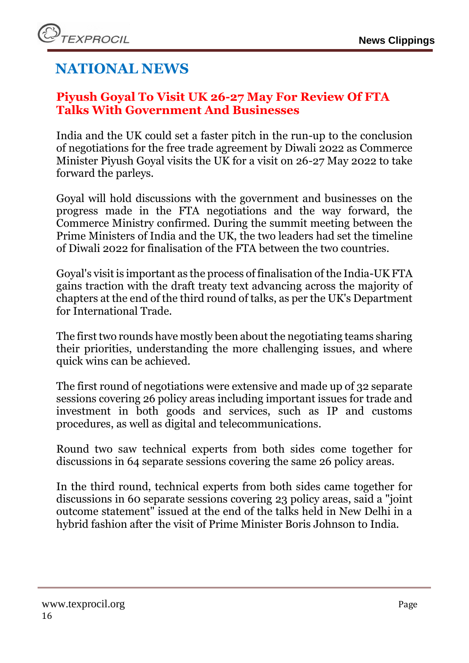# **NATIONAL NEWS**

# <span id="page-15-0"></span>**Piyush Goyal To Visit UK 26-27 May For Review Of FTA Talks With Government And Businesses**

India and the UK could set a faster pitch in the run-up to the conclusion of negotiations for the free trade agreement by Diwali 2022 as Commerce Minister Piyush Goyal visits the UK for a visit on 26-27 May 2022 to take forward the parleys.

Goyal will hold discussions with the government and businesses on the progress made in the FTA negotiations and the way forward, the Commerce Ministry confirmed. During the summit meeting between the Prime Ministers of India and the UK, the two leaders had set the timeline of Diwali 2022 for finalisation of the FTA between the two countries.

Goyal's visit is important as the process of finalisation of the India-UK FTA gains traction with the draft treaty text advancing across the majority of chapters at the end of the third round of talks, as per the UK's Department for International Trade.

The first two rounds have mostly been about the negotiating teams sharing their priorities, understanding the more challenging issues, and where quick wins can be achieved.

The first round of negotiations were extensive and made up of 32 separate sessions covering 26 policy areas including important issues for trade and investment in both goods and services, such as IP and customs procedures, as well as digital and telecommunications.

Round two saw technical experts from both sides come together for discussions in 64 separate sessions covering the same 26 policy areas.

In the third round, technical experts from both sides came together for discussions in 60 separate sessions covering 23 policy areas, said a "joint outcome statement" issued at the end of the talks held in New Delhi in a hybrid fashion after the visit of Prime Minister Boris Johnson to India.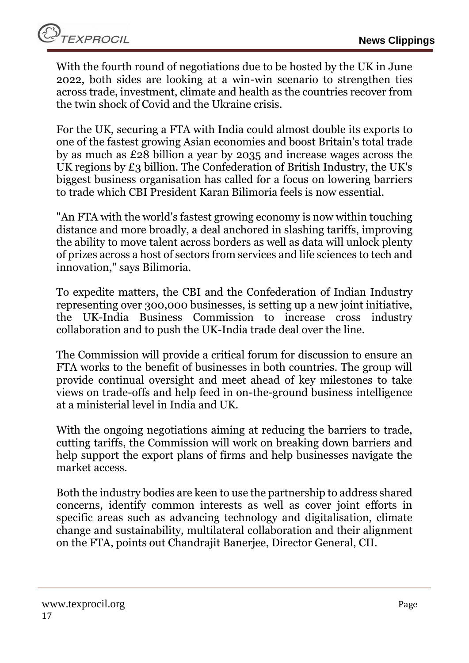With the fourth round of negotiations due to be hosted by the UK in June 2022, both sides are looking at a win-win scenario to strengthen ties across trade, investment, climate and health as the countries recover from the twin shock of Covid and the Ukraine crisis.

For the UK, securing a FTA with India could almost double its exports to one of the fastest growing Asian economies and boost Britain's total trade by as much as £28 billion a year by 2035 and increase wages across the UK regions by £3 billion. The Confederation of British Industry, the UK's biggest business organisation has called for a focus on lowering barriers to trade which CBI President Karan Bilimoria feels is now essential.

"An FTA with the world's fastest growing economy is now within touching distance and more broadly, a deal anchored in slashing tariffs, improving the ability to move talent across borders as well as data will unlock plenty of prizes across a host of sectors from services and life sciences to tech and innovation," says Bilimoria.

To expedite matters, the CBI and the Confederation of Indian Industry representing over 300,000 businesses, is setting up a new joint initiative, the UK-India Business Commission to increase cross industry collaboration and to push the UK-India trade deal over the line.

The Commission will provide a critical forum for discussion to ensure an FTA works to the benefit of businesses in both countries. The group will provide continual oversight and meet ahead of key milestones to take views on trade-offs and help feed in on-the-ground business intelligence at a ministerial level in India and UK.

With the ongoing negotiations aiming at reducing the barriers to trade, cutting tariffs, the Commission will work on breaking down barriers and help support the export plans of firms and help businesses navigate the market access.

Both the industry bodies are keen to use the partnership to address shared concerns, identify common interests as well as cover joint efforts in specific areas such as advancing technology and digitalisation, climate change and sustainability, multilateral collaboration and their alignment on the FTA, points out Chandrajit Banerjee, Director General, CII.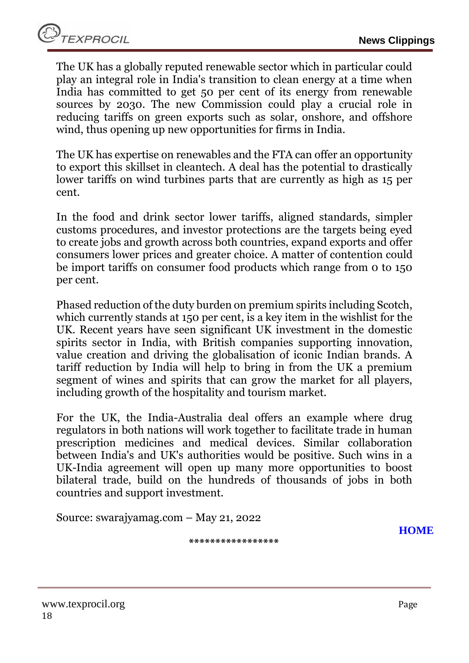The UK has a globally reputed renewable sector which in particular could play an integral role in India's transition to clean energy at a time when India has committed to get 50 per cent of its energy from renewable sources by 2030. The new Commission could play a crucial role in reducing tariffs on green exports such as solar, onshore, and offshore wind, thus opening up new opportunities for firms in India.

The UK has expertise on renewables and the FTA can offer an opportunity to export this skillset in cleantech. A deal has the potential to drastically lower tariffs on wind turbines parts that are currently as high as 15 per cent.

In the food and drink sector lower tariffs, aligned standards, simpler customs procedures, and investor protections are the targets being eyed to create jobs and growth across both countries, expand exports and offer consumers lower prices and greater choice. A matter of contention could be import tariffs on consumer food products which range from 0 to 150 per cent.

Phased reduction of the duty burden on premium spirits including Scotch, which currently stands at 150 per cent, is a key item in the wishlist for the UK. Recent years have seen significant UK investment in the domestic spirits sector in India, with British companies supporting innovation, value creation and driving the globalisation of iconic Indian brands. A tariff reduction by India will help to bring in from the UK a premium segment of wines and spirits that can grow the market for all players, including growth of the hospitality and tourism market.

For the UK, the India-Australia deal offers an example where drug regulators in both nations will work together to facilitate trade in human prescription medicines and medical devices. Similar collaboration between India's and UK's authorities would be positive. Such wins in a UK-India agreement will open up many more opportunities to boost bilateral trade, build on the hundreds of thousands of jobs in both countries and support investment.

**\*\*\*\*\*\*\*\*\*\*\*\*\*\*\*\*\***

Source: swarajyamag.com – May 21, 2022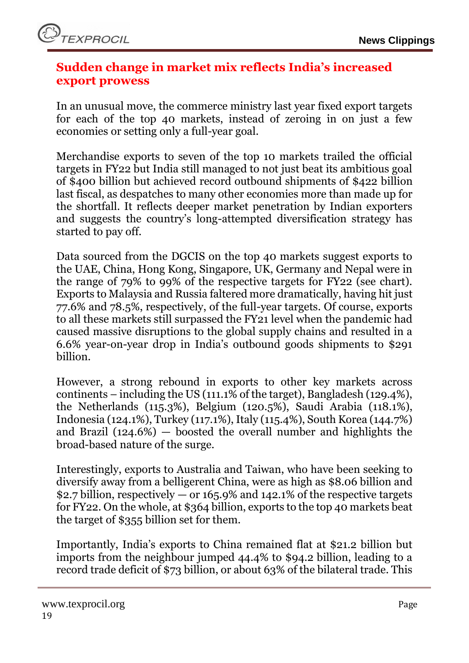

#### <span id="page-18-0"></span>**Sudden change in market mix reflects India's increased export prowess**

In an unusual move, the commerce ministry last year fixed export targets for each of the top 40 markets, instead of zeroing in on just a few economies or setting only a full-year goal.

Merchandise exports to seven of the top 10 markets trailed the official targets in FY22 but India still managed to not just beat its ambitious goal of \$400 billion but achieved record outbound shipments of \$422 billion last fiscal, as despatches to many other economies more than made up for the shortfall. It reflects deeper market penetration by Indian exporters and suggests the country's long-attempted diversification strategy has started to pay off.

Data sourced from the DGCIS on the top 40 markets suggest exports to the UAE, China, Hong Kong, Singapore, UK, Germany and Nepal were in the range of 79% to 99% of the respective targets for FY22 (see chart). Exports to Malaysia and Russia faltered more dramatically, having hit just 77.6% and 78.5%, respectively, of the full-year targets. Of course, exports to all these markets still surpassed the FY21 level when the pandemic had caused massive disruptions to the global supply chains and resulted in a 6.6% year-on-year drop in India's outbound goods shipments to \$291 billion.

However, a strong rebound in exports to other key markets across continents – including the US (111.1% of the target), Bangladesh (129.4%), the Netherlands (115.3%), Belgium (120.5%), Saudi Arabia (118.1%), Indonesia (124.1%), Turkey (117.1%), Italy (115.4%), South Korea (144.7%) and Brazil (124.6%) — boosted the overall number and highlights the broad-based nature of the surge.

Interestingly, exports to Australia and Taiwan, who have been seeking to diversify away from a belligerent China, were as high as \$8.06 billion and \$2.7 billion, respectively  $-$  or 165.9% and 142.1% of the respective targets for FY22. On the whole, at \$364 billion, exports to the top 40 markets beat the target of \$355 billion set for them.

Importantly, India's exports to China remained flat at \$21.2 billion but imports from the neighbour jumped 44.4% to \$94.2 billion, leading to a record trade deficit of \$73 billion, or about 63% of the bilateral trade. This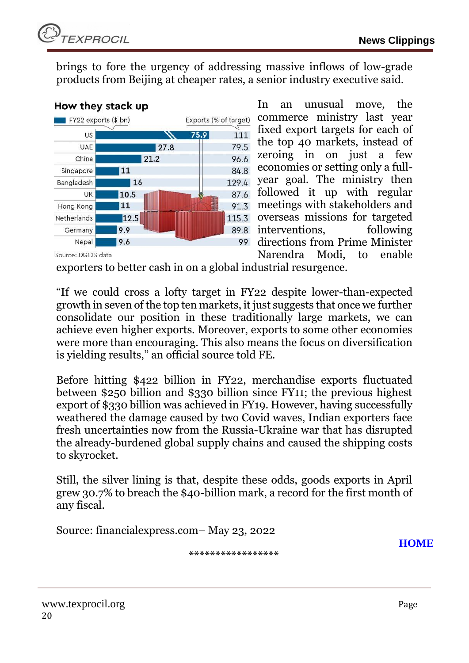brings to fore the urgency of addressing massive inflows of low-grade products from Beijing at cheaper rates, a senior industry executive said.



In an unusual move, the commerce ministry last year fixed export targets for each of the top 40 markets, instead of zeroing in on just a few economies or setting only a fullyear goal. The ministry then followed it up with regular meetings with stakeholders and overseas missions for targeted interventions, following directions from Prime Minister Narendra Modi, to enable

Source: DGCIS data

exporters to better cash in on a global industrial resurgence.

"If we could cross a lofty target in FY22 despite lower-than-expected growth in seven of the top ten markets, it just suggests that once we further consolidate our position in these traditionally large markets, we can achieve even higher exports. Moreover, exports to some other economies were more than encouraging. This also means the focus on diversification is yielding results," an official source told FE.

Before hitting \$422 billion in FY22, merchandise exports fluctuated between \$250 billion and \$330 billion since FY11; the previous highest export of \$330 billion was achieved in FY19. However, having successfully weathered the damage caused by two Covid waves, Indian exporters face fresh uncertainties now from the Russia-Ukraine war that has disrupted the already-burdened global supply chains and caused the shipping costs to skyrocket.

Still, the silver lining is that, despite these odds, goods exports in April grew 30.7% to breach the \$40-billion mark, a record for the first month of any fiscal.

Source: financialexpress.com– May 23, 2022

**[HOME](#page-0-0)**

**\*\*\*\*\*\*\*\*\*\*\*\*\*\*\*\*\***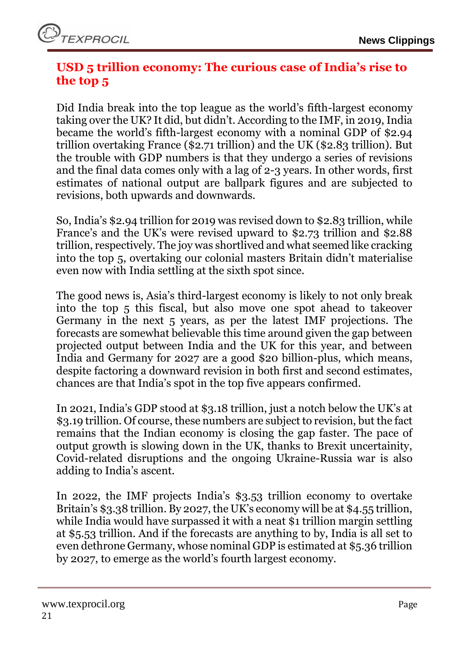# <span id="page-20-0"></span>**USD 5 trillion economy: The curious case of India's rise to the top 5**

Did India break into the top league as the world's fifth-largest economy taking over the UK? It did, but didn't. According to the IMF, in 2019, India became the world's fifth-largest economy with a nominal GDP of \$2.94 trillion overtaking France (\$2.71 trillion) and the UK (\$2.83 trillion). But the trouble with GDP numbers is that they undergo a series of revisions and the final data comes only with a lag of 2-3 years. In other words, first estimates of national output are ballpark figures and are subjected to revisions, both upwards and downwards.

So, India's \$2.94 trillion for 2019 was revised down to \$2.83 trillion, while France's and the UK's were revised upward to \$2.73 trillion and \$2.88 trillion, respectively. The joy was shortlived and what seemed like cracking into the top 5, overtaking our colonial masters Britain didn't materialise even now with India settling at the sixth spot since.

The good news is, Asia's third-largest economy is likely to not only break into the top 5 this fiscal, but also move one spot ahead to takeover Germany in the next 5 years, as per the latest IMF projections. The forecasts are somewhat believable this time around given the gap between projected output between India and the UK for this year, and between India and Germany for 2027 are a good \$20 billion-plus, which means, despite factoring a downward revision in both first and second estimates, chances are that India's spot in the top five appears confirmed.

In 2021, India's GDP stood at \$3.18 trillion, just a notch below the UK's at \$3.19 trillion. Of course, these numbers are subject to revision, but the fact remains that the Indian economy is closing the gap faster. The pace of output growth is slowing down in the UK, thanks to Brexit uncertainity, Covid-related disruptions and the ongoing Ukraine-Russia war is also adding to India's ascent.

In 2022, the IMF projects India's \$3.53 trillion economy to overtake Britain's \$3.38 trillion. By 2027, the UK's economy will be at \$4.55 trillion, while India would have surpassed it with a neat \$1 trillion margin settling at \$5.53 trillion. And if the forecasts are anything to by, India is all set to even dethrone Germany, whose nominal GDP is estimated at \$5.36 trillion by 2027, to emerge as the world's fourth largest economy.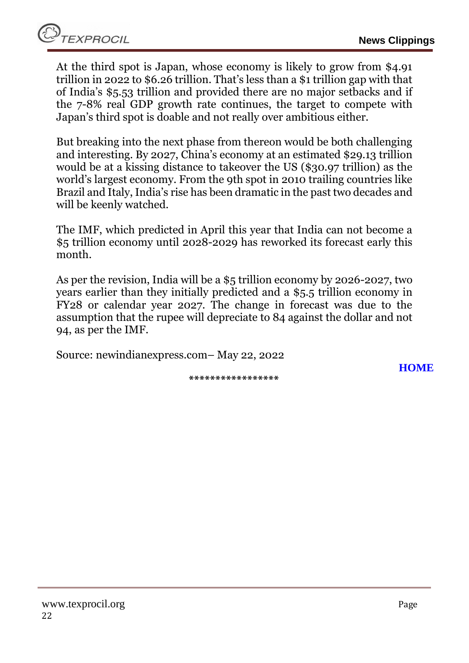At the third spot is Japan, whose economy is likely to grow from \$4.91 trillion in 2022 to \$6.26 trillion. That's less than a \$1 trillion gap with that of India's \$5.53 trillion and provided there are no major setbacks and if the 7-8% real GDP growth rate continues, the target to compete with Japan's third spot is doable and not really over ambitious either.

But breaking into the next phase from thereon would be both challenging and interesting. By 2027, China's economy at an estimated \$29.13 trillion would be at a kissing distance to takeover the US (\$30.97 trillion) as the world's largest economy. From the 9th spot in 2010 trailing countries like Brazil and Italy, India's rise has been dramatic in the past two decades and will be keenly watched.

The IMF, which predicted in April this year that India can not become a \$5 trillion economy until 2028-2029 has reworked its forecast early this month.

As per the revision, India will be a \$5 trillion economy by 2026-2027, two years earlier than they initially predicted and a \$5.5 trillion economy in FY28 or calendar year 2027. The change in forecast was due to the assumption that the rupee will depreciate to 84 against the dollar and not 94, as per the IMF.

Source: newindianexpress.com– May 22, 2022

**[HOME](#page-0-0)**

**\*\*\*\*\*\*\*\*\*\*\*\*\*\*\*\*\***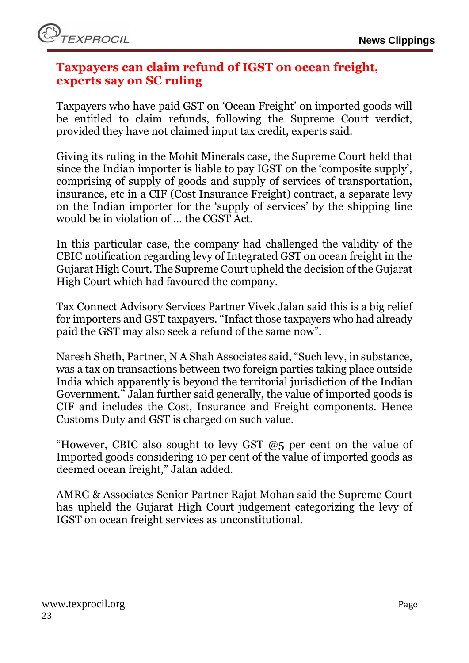

#### <span id="page-22-0"></span>**Taxpayers can claim refund of IGST on ocean freight, experts say on SC ruling**

Taxpayers who have paid GST on 'Ocean Freight' on imported goods will be entitled to claim refunds, following the Supreme Court verdict, provided they have not claimed input tax credit, experts said.

Giving its ruling in the Mohit Minerals case, the Supreme Court held that since the Indian importer is liable to pay IGST on the 'composite supply', comprising of supply of goods and supply of services of transportation, insurance, etc in a CIF (Cost Insurance Freight) contract, a separate levy on the Indian importer for the 'supply of services' by the shipping line would be in violation of … the CGST Act.

In this particular case, the company had challenged the validity of the CBIC notification regarding levy of Integrated GST on ocean freight in the Gujarat High Court. The Supreme Court upheld the decision of the Gujarat High Court which had favoured the company.

Tax Connect Advisory Services Partner Vivek Jalan said this is a big relief for importers and GST taxpayers. "Infact those taxpayers who had already paid the GST may also seek a refund of the same now".

Naresh Sheth, Partner, N A Shah Associates said, "Such levy, in substance, was a tax on transactions between two foreign parties taking place outside India which apparently is beyond the territorial jurisdiction of the Indian Government." Jalan further said generally, the value of imported goods is CIF and includes the Cost, Insurance and Freight components. Hence Customs Duty and GST is charged on such value.

"However, CBIC also sought to levy GST  $@5$  per cent on the value of Imported goods considering 10 per cent of the value of imported goods as deemed ocean freight," Jalan added.

AMRG & Associates Senior Partner Rajat Mohan said the Supreme Court has upheld the Gujarat High Court judgement categorizing the levy of IGST on ocean freight services as unconstitutional.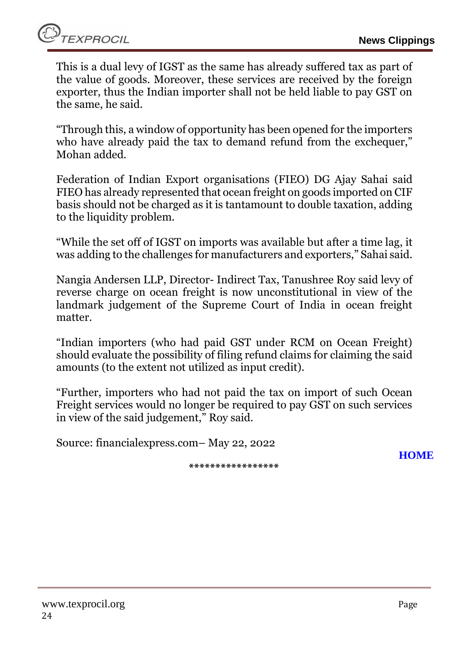This is a dual levy of IGST as the same has already suffered tax as part of the value of goods. Moreover, these services are received by the foreign exporter, thus the Indian importer shall not be held liable to pay GST on the same, he said.

"Through this, a window of opportunity has been opened for the importers who have already paid the tax to demand refund from the exchequer," Mohan added.

Federation of Indian Export organisations (FIEO) DG Ajay Sahai said FIEO has already represented that ocean freight on goods imported on CIF basis should not be charged as it is tantamount to double taxation, adding to the liquidity problem.

"While the set off of IGST on imports was available but after a time lag, it was adding to the challenges for manufacturers and exporters," Sahai said.

Nangia Andersen LLP, Director- Indirect Tax, Tanushree Roy said levy of reverse charge on ocean freight is now unconstitutional in view of the landmark judgement of the Supreme Court of India in ocean freight matter.

"Indian importers (who had paid GST under RCM on Ocean Freight) should evaluate the possibility of filing refund claims for claiming the said amounts (to the extent not utilized as input credit).

"Further, importers who had not paid the tax on import of such Ocean Freight services would no longer be required to pay GST on such services in view of the said judgement," Roy said.

Source: financialexpress.com– May 22, 2022

**\*\*\*\*\*\*\*\*\*\*\*\*\*\*\*\*\***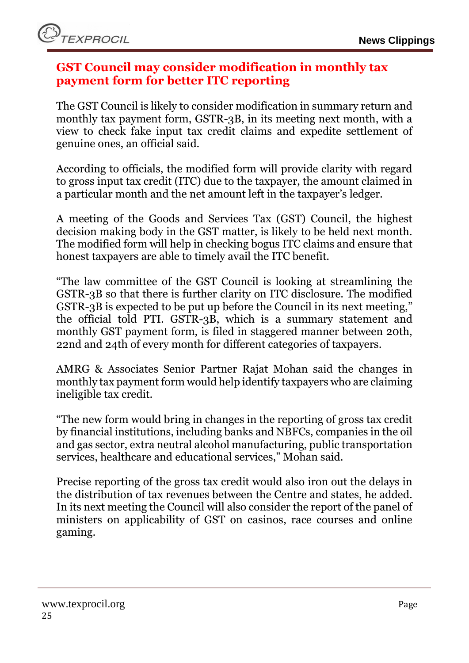# <span id="page-24-0"></span>**GST Council may consider modification in monthly tax payment form for better ITC reporting**

The GST Council is likely to consider modification in summary return and monthly tax payment form, GSTR-3B, in its meeting next month, with a view to check fake input tax credit claims and expedite settlement of genuine ones, an official said.

According to officials, the modified form will provide clarity with regard to gross input tax credit (ITC) due to the taxpayer, the amount claimed in a particular month and the net amount left in the taxpayer's ledger.

A meeting of the Goods and Services Tax (GST) Council, the highest decision making body in the GST matter, is likely to be held next month. The modified form will help in checking bogus ITC claims and ensure that honest taxpayers are able to timely avail the ITC benefit.

"The law committee of the GST Council is looking at streamlining the GSTR-3B so that there is further clarity on ITC disclosure. The modified GSTR-3B is expected to be put up before the Council in its next meeting," the official told PTI. GSTR-3B, which is a summary statement and monthly GST payment form, is filed in staggered manner between 20th, 22nd and 24th of every month for different categories of taxpayers.

AMRG & Associates Senior Partner Rajat Mohan said the changes in monthly tax payment form would help identify taxpayers who are claiming ineligible tax credit.

"The new form would bring in changes in the reporting of gross tax credit by financial institutions, including banks and NBFCs, companies in the oil and gas sector, extra neutral alcohol manufacturing, public transportation services, healthcare and educational services," Mohan said.

Precise reporting of the gross tax credit would also iron out the delays in the distribution of tax revenues between the Centre and states, he added. In its next meeting the Council will also consider the report of the panel of ministers on applicability of GST on casinos, race courses and online gaming.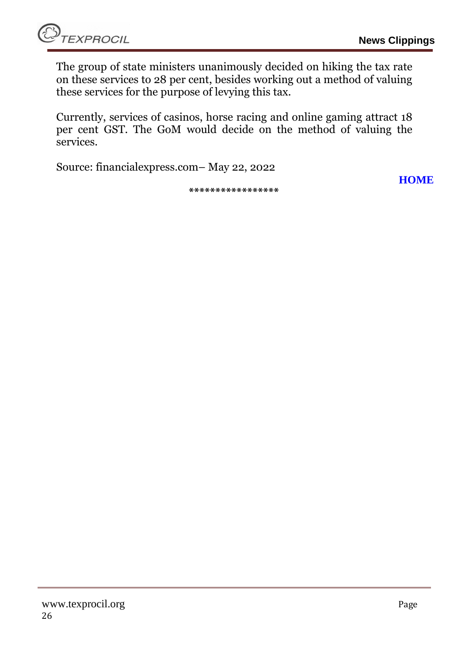The group of state ministers unanimously decided on hiking the tax rate on these services to 28 per cent, besides working out a method of valuing these services for the purpose of levying this tax.

Currently, services of casinos, horse racing and online gaming attract 18 per cent GST. The GoM would decide on the method of valuing the services.

Source: financialexpress.com– May 22, 2022

**\*\*\*\*\*\*\*\*\*\*\*\*\*\*\*\*\***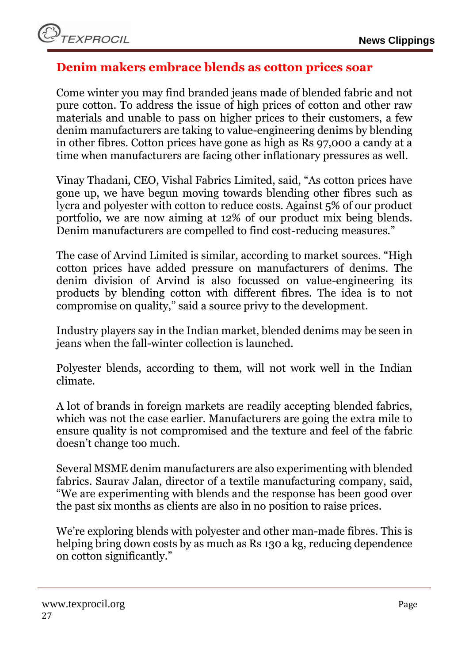# <span id="page-26-0"></span>**Denim makers embrace blends as cotton prices soar**

Come winter you may find branded jeans made of blended fabric and not pure cotton. To address the issue of high prices of cotton and other raw materials and unable to pass on higher prices to their customers, a few denim manufacturers are taking to value-engineering denims by blending in other fibres. Cotton prices have gone as high as Rs 97,000 a candy at a time when manufacturers are facing other inflationary pressures as well.

Vinay Thadani, CEO, Vishal Fabrics Limited, said, "As cotton prices have gone up, we have begun moving towards blending other fibres such as lycra and polyester with cotton to reduce costs. Against 5% of our product portfolio, we are now aiming at 12% of our product mix being blends. Denim manufacturers are compelled to find cost-reducing measures."

The case of Arvind Limited is similar, according to market sources. "High cotton prices have added pressure on manufacturers of denims. The denim division of Arvind is also focussed on value-engineering its products by blending cotton with different fibres. The idea is to not compromise on quality," said a source privy to the development.

Industry players say in the Indian market, blended denims may be seen in jeans when the fall-winter collection is launched.

Polyester blends, according to them, will not work well in the Indian climate.

A lot of brands in foreign markets are readily accepting blended fabrics, which was not the case earlier. Manufacturers are going the extra mile to ensure quality is not compromised and the texture and feel of the fabric doesn't change too much.

Several MSME denim manufacturers are also experimenting with blended fabrics. Saurav Jalan, director of a textile manufacturing company, said, "We are experimenting with blends and the response has been good over the past six months as clients are also in no position to raise prices.

We're exploring blends with polyester and other man-made fibres. This is helping bring down costs by as much as Rs 130 a kg, reducing dependence on cotton significantly."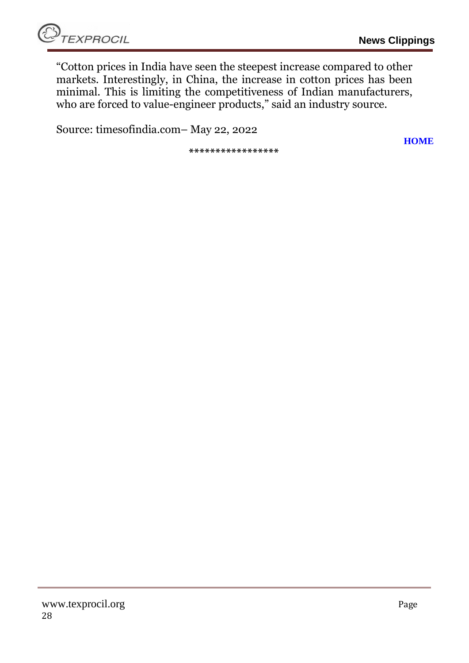**[HOME](#page-0-0)**

"Cotton prices in India have seen the steepest increase compared to other markets. Interestingly, in China, the increase in cotton prices has been minimal. This is limiting the competitiveness of Indian manufacturers, who are forced to value-engineer products," said an industry source.

Source: timesofindia.com– May 22, 2022

**\*\*\*\*\*\*\*\*\*\*\*\*\*\*\*\*\***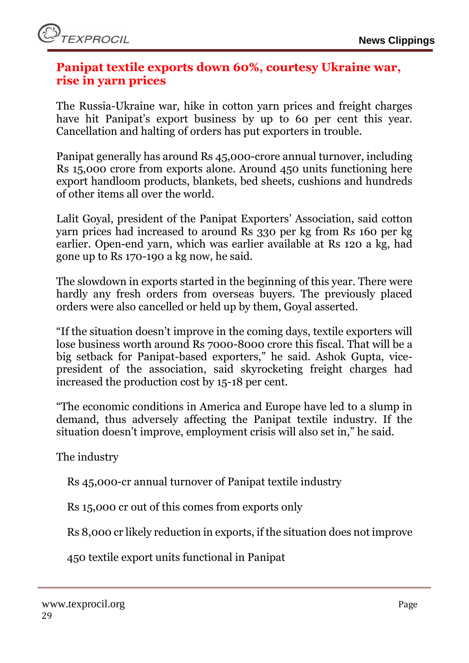## <span id="page-28-0"></span>**Panipat textile exports down 60%, courtesy Ukraine war, rise in yarn prices**

The Russia-Ukraine war, hike in cotton yarn prices and freight charges have hit Panipat's export business by up to 60 per cent this year. Cancellation and halting of orders has put exporters in trouble.

Panipat generally has around Rs 45,000-crore annual turnover, including Rs 15,000 crore from exports alone. Around 450 units functioning here export handloom products, blankets, bed sheets, cushions and hundreds of other items all over the world.

Lalit Goyal, president of the Panipat Exporters' Association, said cotton yarn prices had increased to around Rs 330 per kg from Rs 160 per kg earlier. Open-end yarn, which was earlier available at Rs 120 a kg, had gone up to Rs 170-190 a kg now, he said.

The slowdown in exports started in the beginning of this year. There were hardly any fresh orders from overseas buyers. The previously placed orders were also cancelled or held up by them, Goyal asserted.

"If the situation doesn't improve in the coming days, textile exporters will lose business worth around Rs 7000-8000 crore this fiscal. That will be a big setback for Panipat-based exporters," he said. Ashok Gupta, vicepresident of the association, said skyrocketing freight charges had increased the production cost by 15-18 per cent.

"The economic conditions in America and Europe have led to a slump in demand, thus adversely affecting the Panipat textile industry. If the situation doesn't improve, employment crisis will also set in," he said.

The industry

Rs 45,000-cr annual turnover of Panipat textile industry

Rs 15,000 cr out of this comes from exports only

Rs 8,000 cr likely reduction in exports, if the situation does not improve

450 textile export units functional in Panipat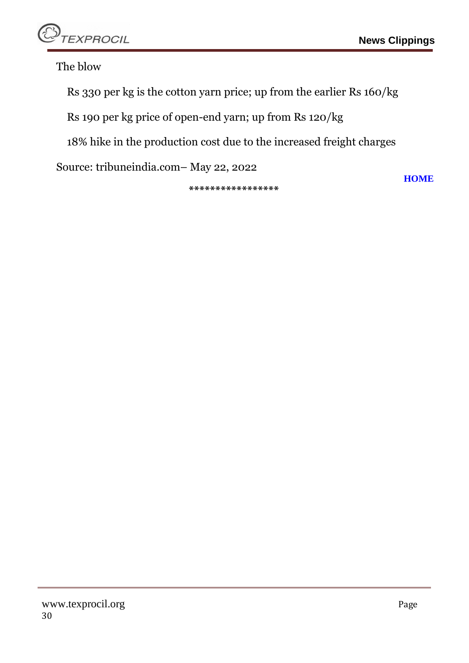

The blow

Rs 330 per kg is the cotton yarn price; up from the earlier Rs 160/kg

Rs 190 per kg price of open-end yarn; up from Rs 120/kg

18% hike in the production cost due to the increased freight charges

Source: tribuneindia.com– May 22, 2022

**\*\*\*\*\*\*\*\*\*\*\*\*\*\*\*\*\***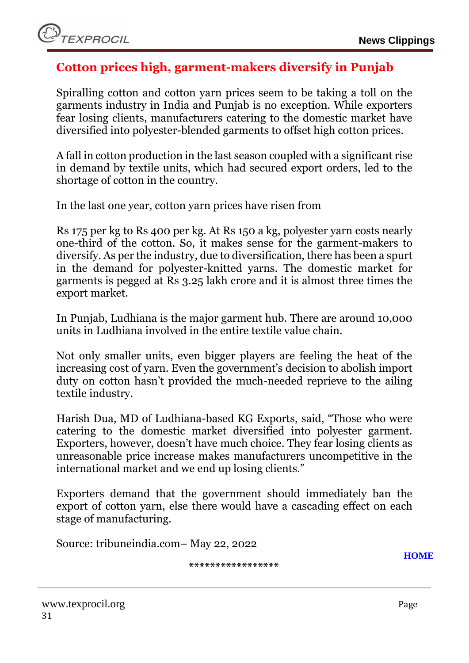# <span id="page-30-0"></span>**Cotton prices high, garment-makers diversify in Punjab**

Spiralling cotton and cotton yarn prices seem to be taking a toll on the garments industry in India and Punjab is no exception. While exporters fear losing clients, manufacturers catering to the domestic market have diversified into polyester-blended garments to offset high cotton prices.

A fall in cotton production in the last season coupled with a significant rise in demand by textile units, which had secured export orders, led to the shortage of cotton in the country.

In the last one year, cotton yarn prices have risen from

Rs 175 per kg to Rs 400 per kg. At Rs 150 a kg, polyester yarn costs nearly one-third of the cotton. So, it makes sense for the garment-makers to diversify. As per the industry, due to diversification, there has been a spurt in the demand for polyester-knitted yarns. The domestic market for garments is pegged at Rs 3.25 lakh crore and it is almost three times the export market.

In Punjab, Ludhiana is the major garment hub. There are around 10,000 units in Ludhiana involved in the entire textile value chain.

Not only smaller units, even bigger players are feeling the heat of the increasing cost of yarn. Even the government's decision to abolish import duty on cotton hasn't provided the much-needed reprieve to the ailing textile industry.

Harish Dua, MD of Ludhiana-based KG Exports, said, "Those who were catering to the domestic market diversified into polyester garment. Exporters, however, doesn't have much choice. They fear losing clients as unreasonable price increase makes manufacturers uncompetitive in the international market and we end up losing clients."

Exporters demand that the government should immediately ban the export of cotton yarn, else there would have a cascading effect on each stage of manufacturing.

Source: tribuneindia.com– May 22, 2022

**\*\*\*\*\*\*\*\*\*\*\*\*\*\*\*\*\***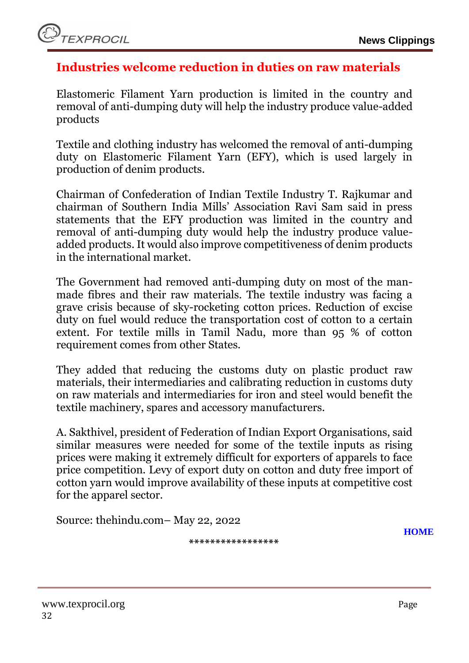## <span id="page-31-0"></span>**Industries welcome reduction in duties on raw materials**

Elastomeric Filament Yarn production is limited in the country and removal of anti-dumping duty will help the industry produce value-added products

Textile and clothing industry has welcomed the removal of anti-dumping duty on Elastomeric Filament Yarn (EFY), which is used largely in production of denim products.

Chairman of Confederation of Indian Textile Industry T. Rajkumar and chairman of Southern India Mills' Association Ravi Sam said in press statements that the EFY production was limited in the country and removal of anti-dumping duty would help the industry produce valueadded products. It would also improve competitiveness of denim products in the international market.

The Government had removed anti-dumping duty on most of the manmade fibres and their raw materials. The textile industry was facing a grave crisis because of sky-rocketing cotton prices. Reduction of excise duty on fuel would reduce the transportation cost of cotton to a certain extent. For textile mills in Tamil Nadu, more than 95 % of cotton requirement comes from other States.

They added that reducing the customs duty on plastic product raw materials, their intermediaries and calibrating reduction in customs duty on raw materials and intermediaries for iron and steel would benefit the textile machinery, spares and accessory manufacturers.

A. Sakthivel, president of Federation of Indian Export Organisations, said similar measures were needed for some of the textile inputs as rising prices were making it extremely difficult for exporters of apparels to face price competition. Levy of export duty on cotton and duty free import of cotton yarn would improve availability of these inputs at competitive cost for the apparel sector.

Source: thehindu.com– May 22, 2022

**\*\*\*\*\*\*\*\*\*\*\*\*\*\*\*\*\***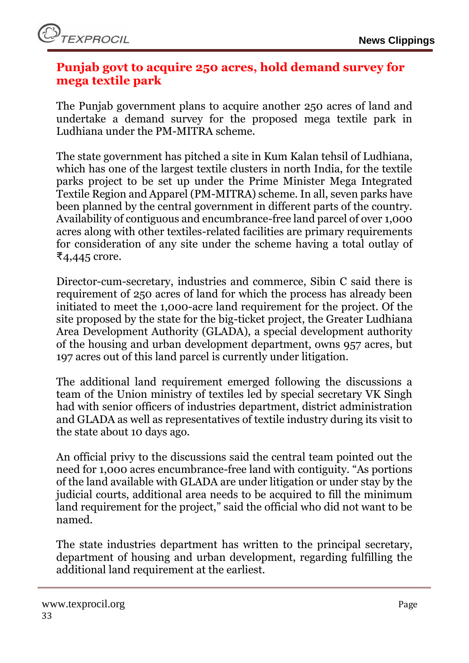# <span id="page-32-0"></span>**Punjab govt to acquire 250 acres, hold demand survey for mega textile park**

The Punjab government plans to acquire another 250 acres of land and undertake a demand survey for the proposed mega textile park in Ludhiana under the PM-MITRA scheme.

The state government has pitched a site in Kum Kalan tehsil of Ludhiana, which has one of the largest textile clusters in north India, for the textile parks project to be set up under the Prime Minister Mega Integrated Textile Region and Apparel (PM-MITRA) scheme. In all, seven parks have been planned by the central government in different parts of the country. Availability of contiguous and encumbrance-free land parcel of over 1,000 acres along with other textiles-related facilities are primary requirements for consideration of any site under the scheme having a total outlay of ₹4,445 crore.

Director-cum-secretary, industries and commerce, Sibin C said there is requirement of 250 acres of land for which the process has already been initiated to meet the 1,000-acre land requirement for the project. Of the site proposed by the state for the big-ticket project, the Greater Ludhiana Area Development Authority (GLADA), a special development authority of the housing and urban development department, owns 957 acres, but 197 acres out of this land parcel is currently under litigation.

The additional land requirement emerged following the discussions a team of the Union ministry of textiles led by special secretary VK Singh had with senior officers of industries department, district administration and GLADA as well as representatives of textile industry during its visit to the state about 10 days ago.

An official privy to the discussions said the central team pointed out the need for 1,000 acres encumbrance-free land with contiguity. "As portions of the land available with GLADA are under litigation or under stay by the judicial courts, additional area needs to be acquired to fill the minimum land requirement for the project," said the official who did not want to be named.

The state industries department has written to the principal secretary, department of housing and urban development, regarding fulfilling the additional land requirement at the earliest.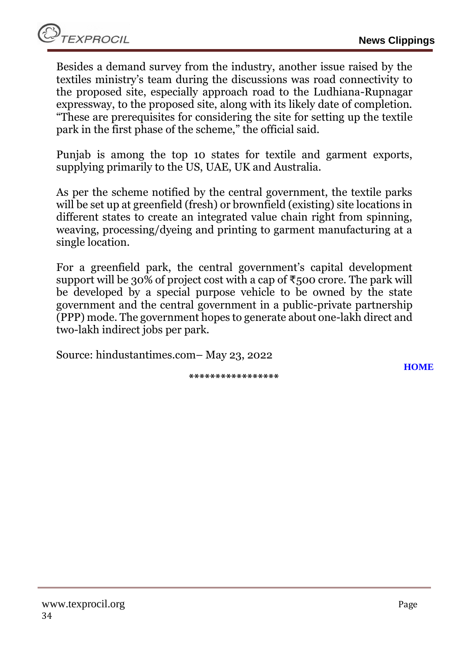Besides a demand survey from the industry, another issue raised by the textiles ministry's team during the discussions was road connectivity to the proposed site, especially approach road to the Ludhiana-Rupnagar expressway, to the proposed site, along with its likely date of completion. "These are prerequisites for considering the site for setting up the textile park in the first phase of the scheme," the official said.

Punjab is among the top 10 states for textile and garment exports, supplying primarily to the US, UAE, UK and Australia.

As per the scheme notified by the central government, the textile parks will be set up at greenfield (fresh) or brownfield (existing) site locations in different states to create an integrated value chain right from spinning, weaving, processing/dyeing and printing to garment manufacturing at a single location.

For a greenfield park, the central government's capital development support will be 30% of project cost with a cap of  $\overline{\xi}$ 500 crore. The park will be developed by a special purpose vehicle to be owned by the state government and the central government in a public-private partnership (PPP) mode. The government hopes to generate about one-lakh direct and two-lakh indirect jobs per park.

Source: hindustantimes.com– May 23, 2022

**[HOME](#page-0-0)**

**\*\*\*\*\*\*\*\*\*\*\*\*\*\*\*\*\***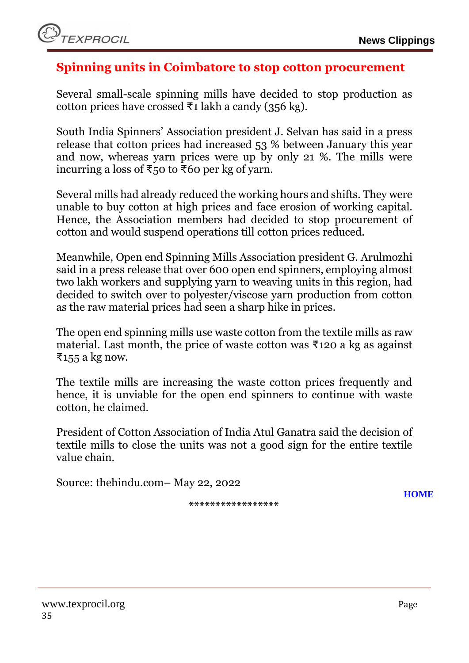# <span id="page-34-0"></span>**Spinning units in Coimbatore to stop cotton procurement**

Several small-scale spinning mills have decided to stop production as cotton prices have crossed ₹1 lakh a candy (356 kg).

South India Spinners' Association president J. Selvan has said in a press release that cotton prices had increased 53 % between January this year and now, whereas yarn prices were up by only 21 %. The mills were incurring a loss of ₹50 to ₹60 per kg of yarn.

Several mills had already reduced the working hours and shifts. They were unable to buy cotton at high prices and face erosion of working capital. Hence, the Association members had decided to stop procurement of cotton and would suspend operations till cotton prices reduced.

Meanwhile, Open end Spinning Mills Association president G. Arulmozhi said in a press release that over 600 open end spinners, employing almost two lakh workers and supplying yarn to weaving units in this region, had decided to switch over to polyester/viscose yarn production from cotton as the raw material prices had seen a sharp hike in prices.

The open end spinning mills use waste cotton from the textile mills as raw material. Last month, the price of waste cotton was ₹120 a kg as against ₹155 a kg now.

The textile mills are increasing the waste cotton prices frequently and hence, it is unviable for the open end spinners to continue with waste cotton, he claimed.

President of Cotton Association of India Atul Ganatra said the decision of textile mills to close the units was not a good sign for the entire textile value chain.

Source: thehindu.com– May 22, 2022

**\*\*\*\*\*\*\*\*\*\*\*\*\*\*\*\*\***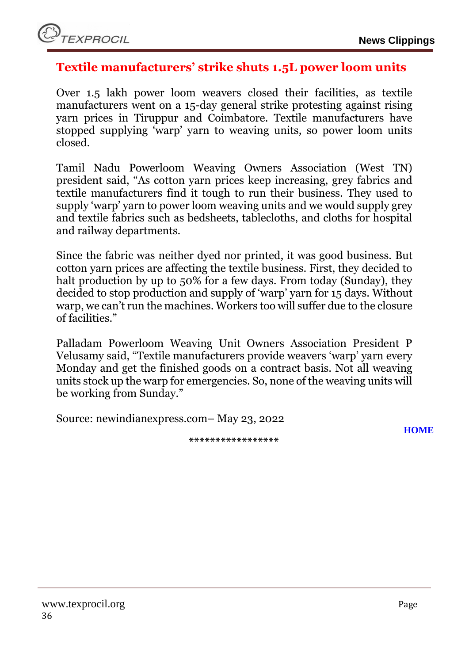

#### <span id="page-35-0"></span>**Textile manufacturers' strike shuts 1.5L power loom units**

Over 1.5 lakh power loom weavers closed their facilities, as textile manufacturers went on a 15-day general strike protesting against rising yarn prices in Tiruppur and Coimbatore. Textile manufacturers have stopped supplying 'warp' yarn to weaving units, so power loom units closed.

Tamil Nadu Powerloom Weaving Owners Association (West TN) president said, "As cotton yarn prices keep increasing, grey fabrics and textile manufacturers find it tough to run their business. They used to supply 'warp' yarn to power loom weaving units and we would supply grey and textile fabrics such as bedsheets, tablecloths, and cloths for hospital and railway departments.

Since the fabric was neither dyed nor printed, it was good business. But cotton yarn prices are affecting the textile business. First, they decided to halt production by up to 50% for a few days. From today (Sunday), they decided to stop production and supply of 'warp' yarn for 15 days. Without warp, we can't run the machines. Workers too will suffer due to the closure of facilities."

Palladam Powerloom Weaving Unit Owners Association President P Velusamy said, "Textile manufacturers provide weavers 'warp' yarn every Monday and get the finished goods on a contract basis. Not all weaving units stock up the warp for emergencies. So, none of the weaving units will be working from Sunday."

Source: newindianexpress.com– May 23, 2022

**[HOME](#page-0-0)**

**\*\*\*\*\*\*\*\*\*\*\*\*\*\*\*\*\***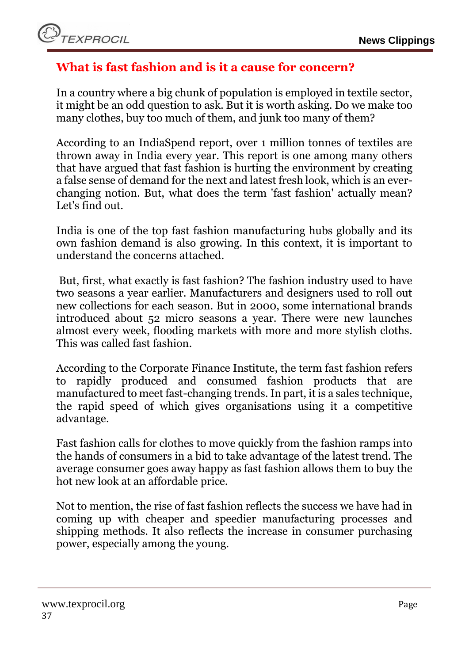# <span id="page-36-0"></span>**What is fast fashion and is it a cause for concern?**

In a country where a big chunk of population is employed in textile sector, it might be an odd question to ask. But it is worth asking. Do we make too many clothes, buy too much of them, and junk too many of them?

According to an IndiaSpend report, over 1 million tonnes of textiles are thrown away in India every year. This report is one among many others that have argued that fast fashion is hurting the environment by creating a false sense of demand for the next and latest fresh look, which is an everchanging notion. But, what does the term 'fast fashion' actually mean? Let's find out.

India is one of the top fast fashion manufacturing hubs globally and its own fashion demand is also growing. In this context, it is important to understand the concerns attached.

But, first, what exactly is fast fashion? The fashion industry used to have two seasons a year earlier. Manufacturers and designers used to roll out new collections for each season. But in 2000, some international brands introduced about 52 micro seasons a year. There were new launches almost every week, flooding markets with more and more stylish cloths. This was called fast fashion.

According to the Corporate Finance Institute, the term fast fashion refers to rapidly produced and consumed fashion products that are manufactured to meet fast-changing trends. In part, it is a sales technique, the rapid speed of which gives organisations using it a competitive advantage.

Fast fashion calls for clothes to move quickly from the fashion ramps into the hands of consumers in a bid to take advantage of the latest trend. The average consumer goes away happy as fast fashion allows them to buy the hot new look at an affordable price.

Not to mention, the rise of fast fashion reflects the success we have had in coming up with cheaper and speedier manufacturing processes and shipping methods. It also reflects the increase in consumer purchasing power, especially among the young.